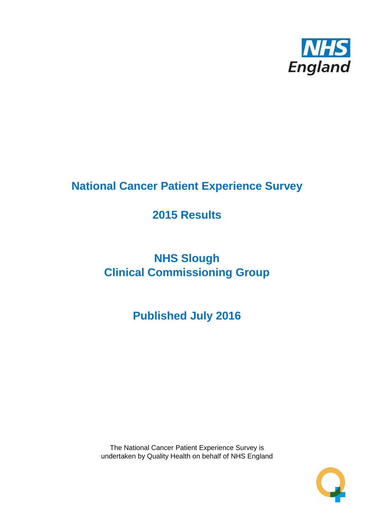

# **National Cancer Patient Experience Survey**

# **2015 Results**

# **NHS Slough Clinical Commissioning Group**

# **Published July 2016**

The National Cancer Patient Experience Survey is undertaken by Quality Health on behalf of NHS England

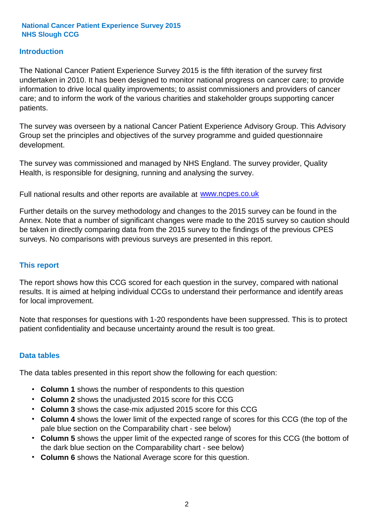### **Introduction**

The National Cancer Patient Experience Survey 2015 is the fifth iteration of the survey first undertaken in 2010. It has been designed to monitor national progress on cancer care; to provide information to drive local quality improvements; to assist commissioners and providers of cancer care; and to inform the work of the various charities and stakeholder groups supporting cancer patients.

The survey was overseen by a national Cancer Patient Experience Advisory Group. This Advisory Group set the principles and objectives of the survey programme and guided questionnaire development.

The survey was commissioned and managed by NHS England. The survey provider, Quality Health, is responsible for designing, running and analysing the survey.

Full national results and other reports are available at www.ncpes.co.uk

Further details on the survey methodology and changes to the 2015 survey can be found in the Annex. Note that a number of significant changes were made to the 2015 survey so caution should be taken in directly comparing data from the 2015 survey to the findings of the previous CPES surveys. No comparisons with previous surveys are presented in this report.

#### **This report**

The report shows how this CCG scored for each question in the survey, compared with national results. It is aimed at helping individual CCGs to understand their performance and identify areas for local improvement.

Note that responses for questions with 1-20 respondents have been suppressed. This is to protect patient confidentiality and because uncertainty around the result is too great.

#### **Data tables**

The data tables presented in this report show the following for each question:

- **Column 1** shows the number of respondents to this question
- **Column 2** shows the unadjusted 2015 score for this CCG
- **Column 3** shows the case-mix adjusted 2015 score for this CCG
- **Column 4** shows the lower limit of the expected range of scores for this CCG (the top of the pale blue section on the Comparability chart - see below)
- **Column 5** shows the upper limit of the expected range of scores for this CCG (the bottom of the dark blue section on the Comparability chart - see below)
- **Column 6** shows the National Average score for this question.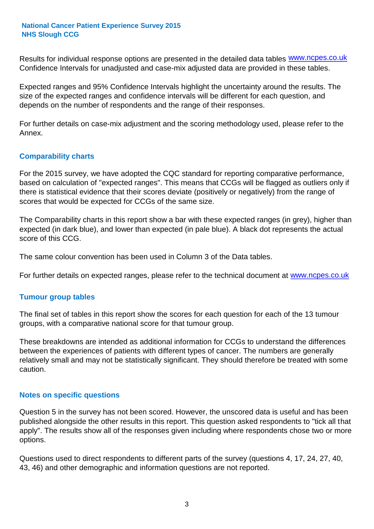Results for individual response options are presented in the detailed data tables **WWW.ncpes.co.uk** Confidence Intervals for unadjusted and case-mix adjusted data are provided in these tables.

Expected ranges and 95% Confidence Intervals highlight the uncertainty around the results. The size of the expected ranges and confidence intervals will be different for each question, and depends on the number of respondents and the range of their responses.

For further details on case-mix adjustment and the scoring methodology used, please refer to the Annex.

### **Comparability charts**

For the 2015 survey, we have adopted the CQC standard for reporting comparative performance, based on calculation of "expected ranges". This means that CCGs will be flagged as outliers only if there is statistical evidence that their scores deviate (positively or negatively) from the range of scores that would be expected for CCGs of the same size.

The Comparability charts in this report show a bar with these expected ranges (in grey), higher than expected (in dark blue), and lower than expected (in pale blue). A black dot represents the actual score of this CCG.

The same colour convention has been used in Column 3 of the Data tables.

For further details on expected ranges, please refer to the technical document at **www.ncpes.co.uk** 

#### **Tumour group tables**

The final set of tables in this report show the scores for each question for each of the 13 tumour groups, with a comparative national score for that tumour group.

These breakdowns are intended as additional information for CCGs to understand the differences between the experiences of patients with different types of cancer. The numbers are generally relatively small and may not be statistically significant. They should therefore be treated with some caution.

#### **Notes on specific questions**

Question 5 in the survey has not been scored. However, the unscored data is useful and has been published alongside the other results in this report. This question asked respondents to "tick all that apply". The results show all of the responses given including where respondents chose two or more options.

Questions used to direct respondents to different parts of the survey (questions 4, 17, 24, 27, 40, 43, 46) and other demographic and information questions are not reported.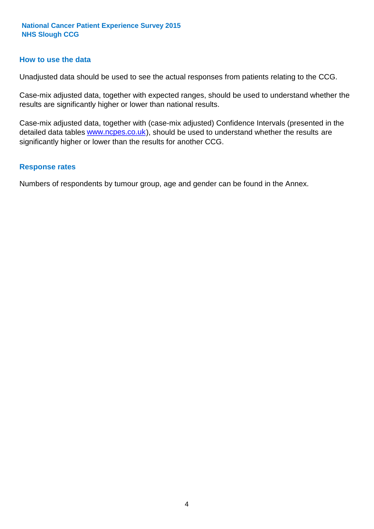#### **How to use the data**

Unadjusted data should be used to see the actual responses from patients relating to the CCG.

Case-mix adjusted data, together with expected ranges, should be used to understand whether the results are significantly higher or lower than national results.

Case-mix adjusted data, together with (case-mix adjusted) Confidence Intervals (presented in the detailed data tables **www.ncpes.co.uk**), should be used to understand whether the results are significantly higher or lower than the results for another CCG.

#### **Response rates**

Numbers of respondents by tumour group, age and gender can be found in the Annex.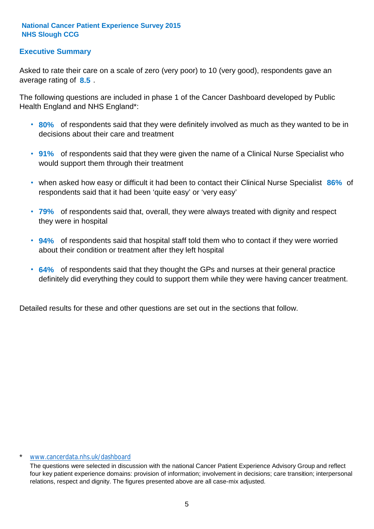# **Executive Summary**

average rating of 8.5. Asked to rate their care on a scale of zero (very poor) to 10 (very good), respondents gave an

The following questions are included in phase 1 of the Cancer Dashboard developed by Public Health England and NHS England\*:

- **80%** of respondents said that they were definitely involved as much as they wanted to be in decisions about their care and treatment
- **91%** of respondents said that they were given the name of a Clinical Nurse Specialist who would support them through their treatment
- when asked how easy or difficult it had been to contact their Clinical Nurse Specialist 86% of respondents said that it had been 'quite easy' or 'very easy'
- **79%** of respondents said that, overall, they were always treated with dignity and respect they were in hospital
- **94%** of respondents said that hospital staff told them who to contact if they were worried about their condition or treatment after they left hospital
- **64%** of respondents said that they thought the GPs and nurses at their general practice definitely did everything they could to support them while they were having cancer treatment.

Detailed results for these and other questions are set out in the sections that follow.

#### \* www.cancerdata.nhs.uk/dashboard

The questions were selected in discussion with the national Cancer Patient Experience Advisory Group and reflect four key patient experience domains: provision of information; involvement in decisions; care transition; interpersonal relations, respect and dignity. The figures presented above are all case-mix adjusted.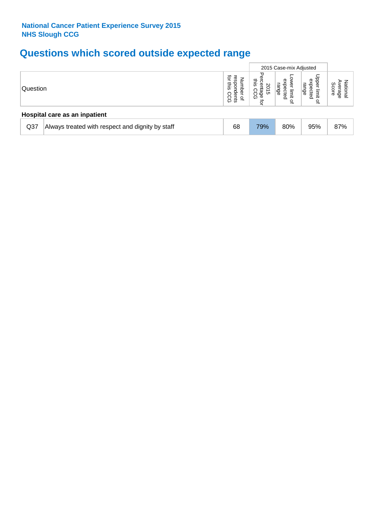# **Questions which scored outside expected range**

|                 |                                                  |                                                                                   |                                                           | 2015 Case-mix Adjusted                                 |                                                     |                          |
|-----------------|--------------------------------------------------|-----------------------------------------------------------------------------------|-----------------------------------------------------------|--------------------------------------------------------|-----------------------------------------------------|--------------------------|
| Question        |                                                  | ਕੁ<br>Φ<br>Z<br><b>CO</b><br>Ĕ<br>this<br>Ξ<br>Ō<br>ሟ<br>dents<br>CCG<br>$\Omega$ | ᡒ<br>inis<br>⅏<br>2S<br>O<br>ಹ<br>ੌ<br>င္က်န္ဖိ<br>⊕<br>₫ | G<br>range<br>ğ<br>ô<br>ecte<br>limit<br>$\Omega$<br>₽ | Upper<br>expecte<br>range<br>limit<br>$\Omega$<br>₽ | Score<br>을<br>erage<br>உ |
|                 | Hospital care as an inpatient                    |                                                                                   |                                                           |                                                        |                                                     |                          |
| Q <sub>37</sub> | Always treated with respect and dignity by staff | 68                                                                                | 79%                                                       | 80%                                                    | 95%                                                 | 87%                      |
|                 |                                                  |                                                                                   |                                                           |                                                        |                                                     |                          |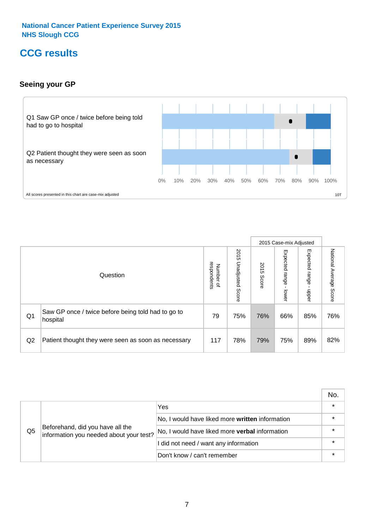# **CCG results**

# **Seeing your GP**



|    |                                                                |                                         |                             |               | 2015 Case-mix Adjusted     |                            |                           |
|----|----------------------------------------------------------------|-----------------------------------------|-----------------------------|---------------|----------------------------|----------------------------|---------------------------|
|    | Question                                                       | respondents<br>Number<br>$\overline{a}$ | 2015<br>Unadjusted<br>Score | 2015<br>Score | Expected<br>range<br>lower | Expected<br>range<br>nbber | National Average<br>Score |
| Q1 | Saw GP once / twice before being told had to go to<br>hospital | 79                                      | 75%                         | 76%           | 66%                        | 85%                        | 76%                       |
| Q2 | Patient thought they were seen as soon as necessary            | 117                                     | 78%                         | 79%           | 75%                        | 89%                        | 82%                       |

|    |                                                                             |                                                 | No. |
|----|-----------------------------------------------------------------------------|-------------------------------------------------|-----|
|    | Beforehand, did you have all the<br>information you needed about your test? | Yes                                             |     |
|    |                                                                             | No, I would have liked more written information |     |
| Q5 |                                                                             | No, I would have liked more verbal information  |     |
|    |                                                                             | I did not need / want any information           |     |
|    |                                                                             | Don't know / can't remember                     |     |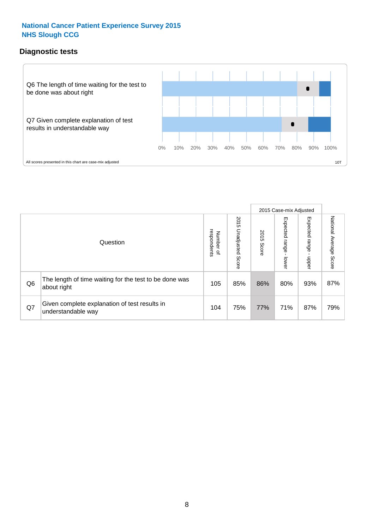# **Diagnostic tests**



|                |                                                                       |                                   |                             |               | 2015 Case-mix Adjusted  |                         |                           |
|----------------|-----------------------------------------------------------------------|-----------------------------------|-----------------------------|---------------|-------------------------|-------------------------|---------------------------|
|                | Question                                                              | respondents<br>Number<br>$\Omega$ | 2015<br>Unadjusted<br>Score | 2015<br>Score | Expected range<br>lower | Expected range<br>nbber | National Average<br>Score |
| Q <sub>6</sub> | The length of time waiting for the test to be done was<br>about right | 105                               | 85%                         | 86%           | 80%                     | 93%                     | 87%                       |
| Q7             | Given complete explanation of test results in<br>understandable way   | 104                               | 75%                         | 77%           | 71%                     | 87%                     | 79%                       |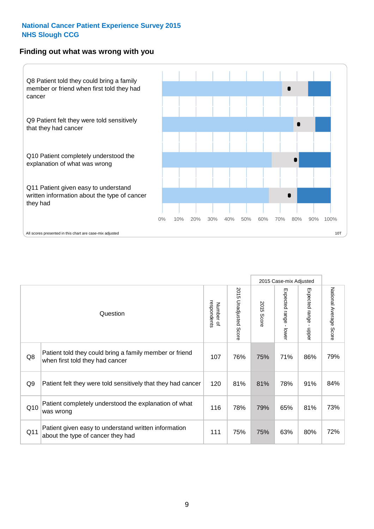#### **Finding out what was wrong with you**



|                |                                                                                            |                          |                                 |               | 2015 Case-mix Adjusted                    |                        |                        |
|----------------|--------------------------------------------------------------------------------------------|--------------------------|---------------------------------|---------------|-------------------------------------------|------------------------|------------------------|
|                | Question                                                                                   | respondents<br>Number of | 2015 Unadjusted<br><b>Score</b> | 2015<br>Score | Expected range<br>$\mathbf{I}$<br>- lower | Expected range - upper | National Average Score |
| Q8             | Patient told they could bring a family member or friend<br>when first told they had cancer | 107                      | 76%                             | 75%           | 71%                                       | 86%                    | 79%                    |
| Q <sub>9</sub> | Patient felt they were told sensitively that they had cancer                               | 120                      | 81%                             | 81%           | 78%                                       | 91%                    | 84%                    |
| Q10            | Patient completely understood the explanation of what<br>was wrong                         | 116                      | 78%                             | 79%           | 65%                                       | 81%                    | 73%                    |
| Q11            | Patient given easy to understand written information<br>about the type of cancer they had  | 111                      | 75%                             | 75%           | 63%                                       | 80%                    | 72%                    |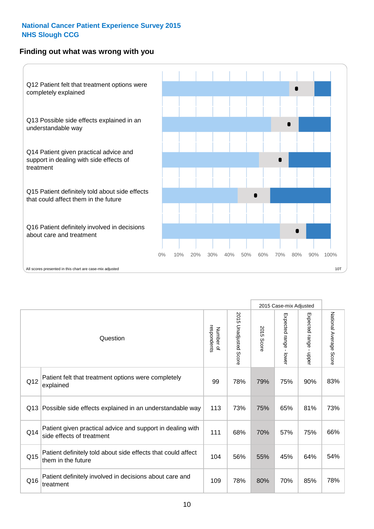# **Finding out what was wrong with you**



|     |                                                                                         |                          |                          |               | 2015 Case-mix Adjusted                    |                        |                        |
|-----|-----------------------------------------------------------------------------------------|--------------------------|--------------------------|---------------|-------------------------------------------|------------------------|------------------------|
|     | Question                                                                                | Number of<br>respondents | 2015<br>Unadjusted Score | 2015<br>Score | Expected range<br>$\blacksquare$<br>lower | Expected range - upper | National Average Score |
| Q12 | Patient felt that treatment options were completely<br>explained                        | 99                       | 78%                      | 79%           | 75%                                       | 90%                    | 83%                    |
| Q13 | Possible side effects explained in an understandable way                                | 113                      | 73%                      | 75%           | 65%                                       | 81%                    | 73%                    |
| Q14 | Patient given practical advice and support in dealing with<br>side effects of treatment | 111                      | 68%                      | 70%           | 57%                                       | 75%                    | 66%                    |
| Q15 | Patient definitely told about side effects that could affect<br>them in the future      | 104                      | 56%                      | 55%           | 45%                                       | 64%                    | 54%                    |
| Q16 | Patient definitely involved in decisions about care and<br>treatment                    | 109                      | 78%                      | 80%           | 70%                                       | 85%                    | 78%                    |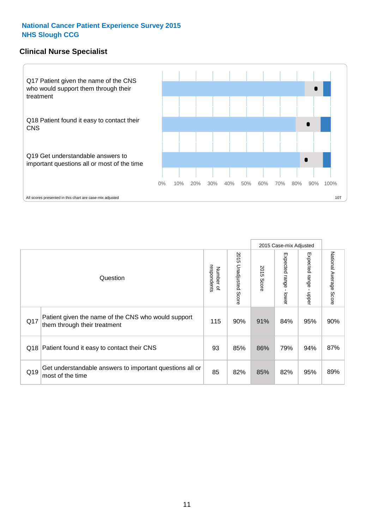## **Clinical Nurse Specialist**



|     |                                                                                     |                          |                       |               | 2015 Case-mix Adjusted  |                         |                        |
|-----|-------------------------------------------------------------------------------------|--------------------------|-----------------------|---------------|-------------------------|-------------------------|------------------------|
|     | Question                                                                            | respondents<br>Number of | 2015 Unadjusted Score | 2015<br>Score | Expected range<br>lower | Expected range<br>nbber | National Average Score |
| Q17 | Patient given the name of the CNS who would support<br>them through their treatment | 115                      | 90%                   | 91%           | 84%                     | 95%                     | 90%                    |
|     | Q18 Patient found it easy to contact their CNS                                      | 93                       | 85%                   | 86%           | 79%                     | 94%                     | 87%                    |
| Q19 | Get understandable answers to important questions all or<br>most of the time        | 85                       | 82%                   | 85%           | 82%                     | 95%                     | 89%                    |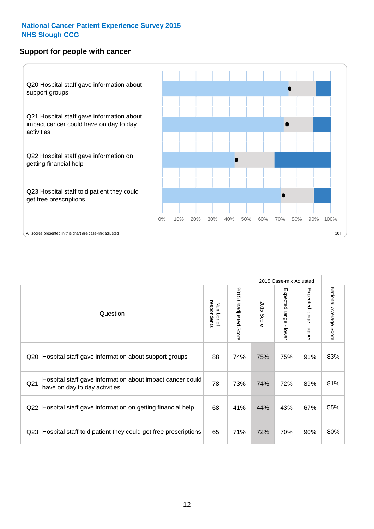### **Support for people with cancer**



|                 |                                                                                            |                          |                                 |               | 2015 Case-mix Adjusted  |                                         |                        |
|-----------------|--------------------------------------------------------------------------------------------|--------------------------|---------------------------------|---------------|-------------------------|-----------------------------------------|------------------------|
|                 | Question                                                                                   | respondents<br>Number of | 2015<br><b>Unadjusted Score</b> | 2015<br>Score | Expected range<br>lower | Expected range<br>$\mathbf{I}$<br>nbber | National Average Score |
| Q20             | Hospital staff gave information about support groups                                       | 88                       | 74%                             | 75%           | 75%                     | 91%                                     | 83%                    |
| Q <sub>21</sub> | Hospital staff gave information about impact cancer could<br>have on day to day activities | 78                       | 73%                             | 74%           | 72%                     | 89%                                     | 81%                    |
| Q22             | Hospital staff gave information on getting financial help                                  | 68                       | 41%                             | 44%           | 43%                     | 67%                                     | 55%                    |
| Q <sub>23</sub> | Hospital staff told patient they could get free prescriptions                              | 65                       | 71%                             | 72%           | 70%                     | 90%                                     | 80%                    |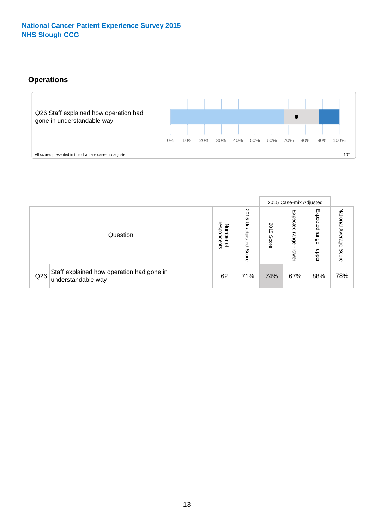# **Operations**



|     |                                                                 |                                              |                             |                   | 2015 Case-mix Adjusted     |                          |                              |
|-----|-----------------------------------------------------------------|----------------------------------------------|-----------------------------|-------------------|----------------------------|--------------------------|------------------------------|
|     | Question                                                        | respondents<br>Number<br>$\overline{\sigma}$ | 2015<br>Unadjusted<br>Score | 201<br>c<br>Score | Expected<br>range<br>lower | Expected<br>range<br>ddo | National<br>Average<br>Score |
| Q26 | Staff explained how operation had gone in<br>understandable way | 62                                           | 71%                         | 74%               | 67%                        | 88%                      | 78%                          |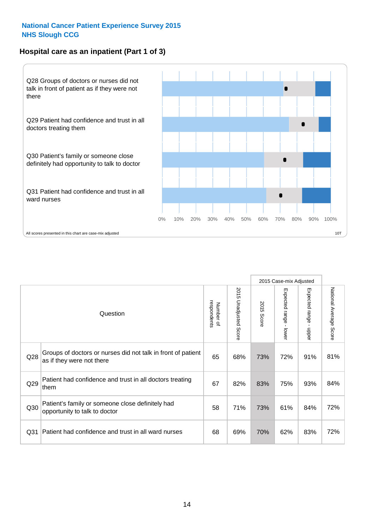# **Hospital care as an inpatient (Part 1 of 3)**



All scores presented in this chart are case-mix adjusted  $10T$ 

|                 |                                                                                           |                          |                          |               | 2015 Case-mix Adjusted                    |                                           |                        |
|-----------------|-------------------------------------------------------------------------------------------|--------------------------|--------------------------|---------------|-------------------------------------------|-------------------------------------------|------------------------|
|                 | Question                                                                                  | respondents<br>Number of | 2015<br>Unadjusted Score | 2015<br>Score | Expected range<br>$\blacksquare$<br>lower | Expected range<br>$\blacksquare$<br>nbber | National Average Score |
| Q28             | Groups of doctors or nurses did not talk in front of patient<br>as if they were not there | 65                       | 68%                      | 73%           | 72%                                       | 91%                                       | 81%                    |
| Q29             | Patient had confidence and trust in all doctors treating<br>them                          | 67                       | 82%                      | 83%           | 75%                                       | 93%                                       | 84%                    |
| Q30             | Patient's family or someone close definitely had<br>opportunity to talk to doctor         | 58                       | 71%                      | 73%           | 61%                                       | 84%                                       | 72%                    |
| Q <sub>31</sub> | Patient had confidence and trust in all ward nurses                                       | 68                       | 69%                      | 70%           | 62%                                       | 83%                                       | 72%                    |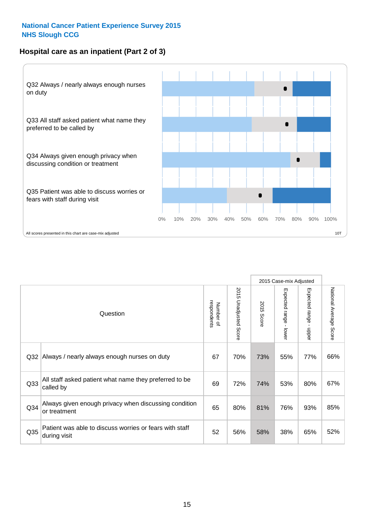# **Hospital care as an inpatient (Part 2 of 3)**



|                 | Question                                                                | respondents<br>Number of | 2015<br>Unadjusted<br>Score | 2015<br>Score | 2015 Case-mix Adjusted<br>Expected range - lower | Expected range -<br>nbbeu | National Average<br>Score |
|-----------------|-------------------------------------------------------------------------|--------------------------|-----------------------------|---------------|--------------------------------------------------|---------------------------|---------------------------|
| Q <sub>32</sub> | Always / nearly always enough nurses on duty                            | 67                       | 70%                         | 73%           | 55%                                              | 77%                       | 66%                       |
| Q <sub>33</sub> | All staff asked patient what name they preferred to be<br>called by     | 69                       | 72%                         | 74%           | 53%                                              | 80%                       | 67%                       |
| Q <sub>34</sub> | Always given enough privacy when discussing condition<br>or treatment   | 65                       | 80%                         | 81%           | 76%                                              | 93%                       | 85%                       |
| Q <sub>35</sub> | Patient was able to discuss worries or fears with staff<br>during visit | 52                       | 56%                         | 58%           | 38%                                              | 65%                       | 52%                       |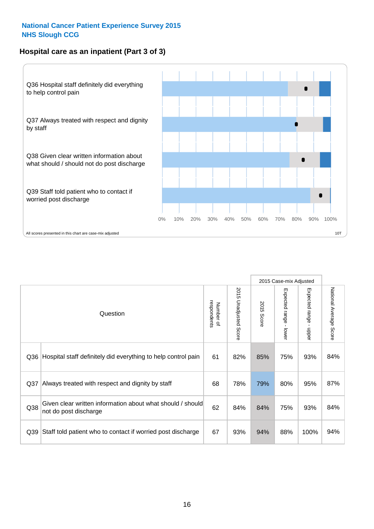# **Hospital care as an inpatient (Part 3 of 3)**



|                 |                                                                                     |                          |                                 |               | 2015 Case-mix Adjusted                    |                                           |                        |
|-----------------|-------------------------------------------------------------------------------------|--------------------------|---------------------------------|---------------|-------------------------------------------|-------------------------------------------|------------------------|
|                 | Question                                                                            | respondents<br>Number of | 2015<br><b>Unadjusted Score</b> | 2015<br>Score | Expected range<br>$\blacksquare$<br>lower | Expected range<br>$\blacksquare$<br>nbber | National Average Score |
| Q36             | Hospital staff definitely did everything to help control pain                       | 61                       | 82%                             | 85%           | 75%                                       | 93%                                       | 84%                    |
| Q <sub>37</sub> | Always treated with respect and dignity by staff                                    | 68                       | 78%                             | 79%           | 80%                                       | 95%                                       | 87%                    |
| Q38             | Given clear written information about what should / should<br>not do post discharge | 62                       | 84%                             | 84%           | 75%                                       | 93%                                       | 84%                    |
| Q39             | Staff told patient who to contact if worried post discharge                         | 67                       | 93%                             | 94%           | 88%                                       | 100%                                      | 94%                    |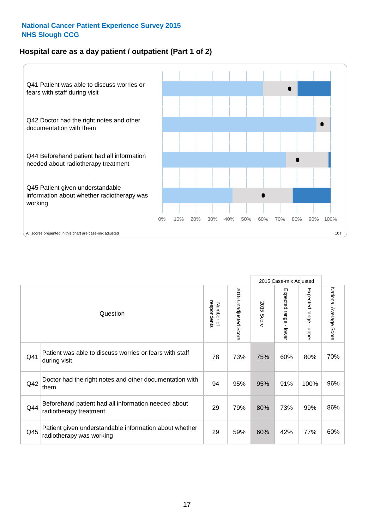# **Hospital care as a day patient / outpatient (Part 1 of 2)**



|     |                                                                                    |                          |                                 | 2015 Case-mix Adjusted |                                         |                                         |                        |
|-----|------------------------------------------------------------------------------------|--------------------------|---------------------------------|------------------------|-----------------------------------------|-----------------------------------------|------------------------|
|     | Question                                                                           | respondents<br>Number of | 2015<br><b>Unadjusted Score</b> | 2015<br><b>Score</b>   | Expected range<br>$\mathbf{r}$<br>lower | Expected range<br>$\mathbf{I}$<br>nbber | National Average Score |
| Q41 | Patient was able to discuss worries or fears with staff<br>during visit            | 78                       | 73%                             | 75%                    | 60%                                     | 80%                                     | 70%                    |
| Q42 | Doctor had the right notes and other documentation with<br>them                    | 94                       | 95%                             | 95%                    | 91%                                     | 100%                                    | 96%                    |
| Q44 | Beforehand patient had all information needed about<br>radiotherapy treatment      | 29                       | 79%                             | 80%                    | 73%                                     | 99%                                     | 86%                    |
| Q45 | Patient given understandable information about whether<br>radiotherapy was working | 29                       | 59%                             | 60%                    | 42%                                     | 77%                                     | 60%                    |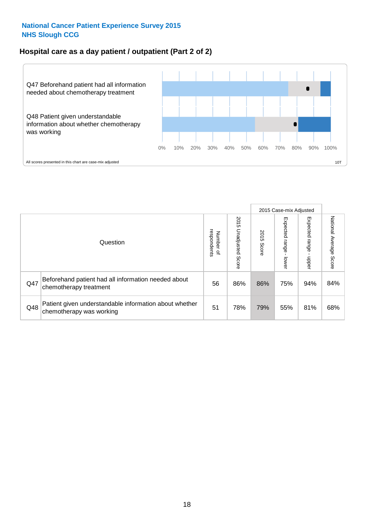# **Hospital care as a day patient / outpatient (Part 2 of 2)**



|     |                                                                                    |                                       |                             | 2015 Case-mix Adjusted |                             |                         |                           |
|-----|------------------------------------------------------------------------------------|---------------------------------------|-----------------------------|------------------------|-----------------------------|-------------------------|---------------------------|
|     | Question                                                                           | respondents<br>Number<br>$\mathbf{Q}$ | 2015<br>Unadjusted<br>Score | 2015<br>Score          | Expected<br>Irange<br>lower | Expected range<br>doper | National Average<br>Score |
| Q47 | Beforehand patient had all information needed about<br>chemotherapy treatment      | 56                                    | 86%                         | 86%                    | 75%                         | 94%                     | 84%                       |
| Q48 | Patient given understandable information about whether<br>chemotherapy was working | 51                                    | 78%                         | 79%                    | 55%                         | 81%                     | 68%                       |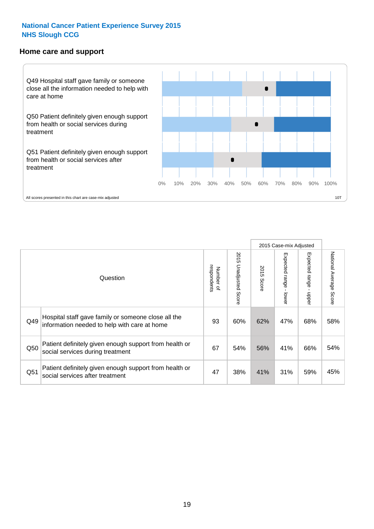#### **Home care and support**



All scores presented in this chart are case-mix adjusted

|     |                                                                                                     |                          |                       | 2015 Case-mix Adjusted |                              |                         |                                  |
|-----|-----------------------------------------------------------------------------------------------------|--------------------------|-----------------------|------------------------|------------------------------|-------------------------|----------------------------------|
|     | Question                                                                                            | respondents<br>Number of | 2015 Unadjusted Score | 2015<br>Score          | Expected<br>I range<br>lower | Expected range<br>nbber | National Average<br><b>Score</b> |
| Q49 | Hospital staff gave family or someone close all the<br>information needed to help with care at home | 93                       | 60%                   | 62%                    | 47%                          | 68%                     | 58%                              |
| Q50 | Patient definitely given enough support from health or<br>social services during treatment          | 67                       | 54%                   | 56%                    | 41%                          | 66%                     | 54%                              |
| Q51 | Patient definitely given enough support from health or<br>social services after treatment           | 47                       | 38%                   | 41%                    | 31%                          | 59%                     | 45%                              |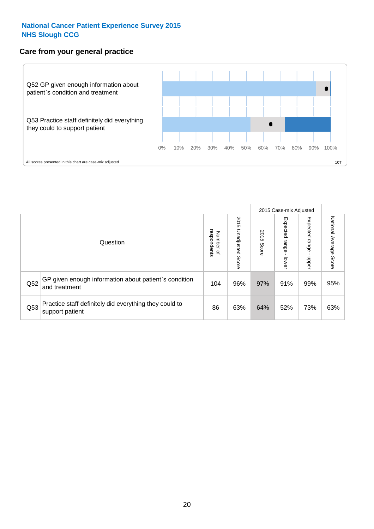# **Care from your general practice**



|     |                                                                           |                                              |                             | 2015 Case-mix Adjusted |                                    |                              |                           |
|-----|---------------------------------------------------------------------------|----------------------------------------------|-----------------------------|------------------------|------------------------------------|------------------------------|---------------------------|
|     | Question                                                                  | respondents<br>Number<br>$\overline{\sigma}$ | 2015<br>Unadjusted<br>Score | 2015<br>Score          | Expected<br><b>Irange</b><br>lower | Expected<br>  range<br>doper | National Average<br>Score |
| Q52 | GP given enough information about patient's condition<br>and treatment    | 104                                          | 96%                         | 97%                    | 91%                                | 99%                          | 95%                       |
| Q53 | Practice staff definitely did everything they could to<br>support patient | 86                                           | 63%                         | 64%                    | 52%                                | 73%                          | 63%                       |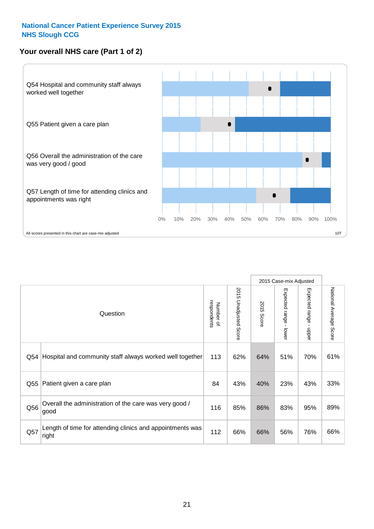# **Your overall NHS care (Part 1 of 2)**



|     |                                                                    |                          |                                 | 2015 Case-mix Adjusted |                                           |                           |                        |
|-----|--------------------------------------------------------------------|--------------------------|---------------------------------|------------------------|-------------------------------------------|---------------------------|------------------------|
|     | Question                                                           | respondents<br>Number of | 2015<br><b>Unadjusted Score</b> | 2015<br>Score          | Expected range<br>$\blacksquare$<br>lower | Expected range<br>- nbber | National Average Score |
| Q54 | Hospital and community staff always worked well together           | 113                      | 62%                             | 64%                    | 51%                                       | 70%                       | 61%                    |
| Q55 | Patient given a care plan                                          | 84                       | 43%                             | 40%                    | 23%                                       | 43%                       | 33%                    |
| Q56 | Overall the administration of the care was very good /<br>good     | 116                      | 85%                             | 86%                    | 83%                                       | 95%                       | 89%                    |
| Q57 | Length of time for attending clinics and appointments was<br>right | 112                      | 66%                             | 66%                    | 56%                                       | 76%                       | 66%                    |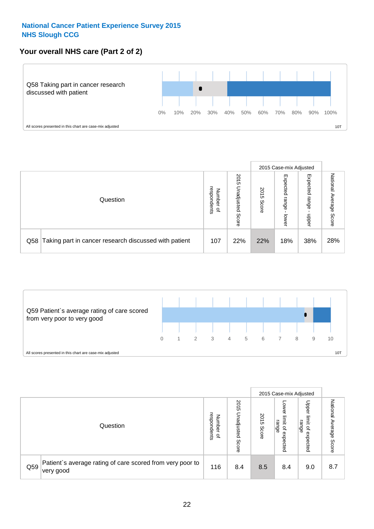# **Your overall NHS care (Part 2 of 2)**



|     |                                                       |                                              |                             |               | 2015 Case-mix Adjusted     |                            |                           |
|-----|-------------------------------------------------------|----------------------------------------------|-----------------------------|---------------|----------------------------|----------------------------|---------------------------|
|     | Question                                              | respondents<br>Number<br>$\overline{\sigma}$ | 2015<br>Unadjusted<br>Score | 2015<br>Score | Expected<br>range<br>lower | Expected<br>range<br>doper | National<br>Average Score |
| Q58 | Taking part in cancer research discussed with patient | 107                                          | 22%                         | 22%           | 18%                        | 38%                        | 28%                       |



|     |                                                                        |                                   |                             |               | 2015 Case-mix Adjusted                  |                                                       |                                |
|-----|------------------------------------------------------------------------|-----------------------------------|-----------------------------|---------------|-----------------------------------------|-------------------------------------------------------|--------------------------------|
|     | Question                                                               | respondents<br>Number<br>$\Omega$ | 2015<br>Unadjusted<br>Score | 2015<br>Score | OWer<br>limit<br>range<br>٩<br>expected | Upper<br>limit<br>range<br>$\overline{a}$<br>expected | National<br>I Average<br>Score |
| Q59 | Patient's average rating of care scored from very poor to<br>very good | 116                               | 8.4                         | 8.5           | 8.4                                     | 9.0                                                   | 8.7                            |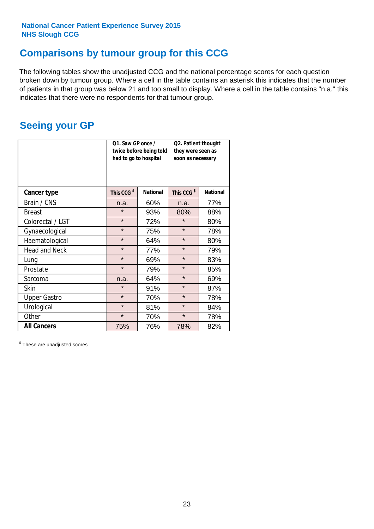# **Comparisons by tumour group for this CCG**

The following tables show the unadjusted CCG and the national percentage scores for each question broken down by tumour group. Where a cell in the table contains an asterisk this indicates that the number of patients in that group was below 21 and too small to display. Where a cell in the table contains "n.a." this indicates that there were no respondents for that tumour group.

# **Seeing your GP**

|                      | Q1. Saw GP once /<br>had to go to hospital | twice before being told | Q2. Patient thought<br>they were seen as<br>soon as necessary |                 |  |
|----------------------|--------------------------------------------|-------------------------|---------------------------------------------------------------|-----------------|--|
| <b>Cancer type</b>   | This CCG <sup>\$</sup>                     | <b>National</b>         | This CCG <sup>\$</sup>                                        | <b>National</b> |  |
| Brain / CNS          | n.a.                                       | 60%                     | n.a.                                                          | 77%             |  |
| <b>Breast</b>        | $\star$                                    | 93%                     | 80%                                                           | 88%             |  |
| Colorectal / LGT     | $\star$                                    | 72%                     | $\star$                                                       | 80%             |  |
| Gynaecological       | $\star$                                    | 75%                     | $\star$                                                       | 78%             |  |
| Haematological       | $\star$                                    | 64%                     | $\star$                                                       | 80%             |  |
| <b>Head and Neck</b> | $\star$                                    | 77%                     | $\star$                                                       | 79%             |  |
| Lung                 | $\star$                                    | 69%                     | $\star$                                                       | 83%             |  |
| Prostate             | $\star$                                    | 79%                     | $\star$                                                       | 85%             |  |
| Sarcoma              | n.a.                                       | 64%                     | $\star$                                                       | 69%             |  |
| Skin                 | $\star$                                    | 91%                     | $\star$                                                       | 87%             |  |
| <b>Upper Gastro</b>  | $\star$                                    | 70%                     | $\star$                                                       | 78%             |  |
| Urological           | $\star$                                    | 81%                     | $\star$                                                       | 84%             |  |
| Other                | $\star$                                    | 70%                     | $\star$                                                       | 78%             |  |
| <b>All Cancers</b>   | 75%                                        | 76%                     | 78%                                                           | 82%             |  |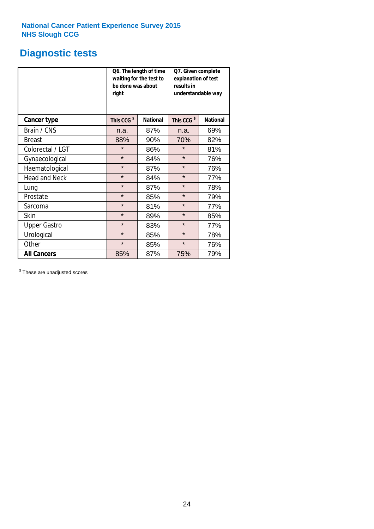# **Diagnostic tests**

|                      | be done was about<br>right | Q6. The length of time<br>waiting for the test to | Q7. Given complete<br>explanation of test<br>results in<br>understandable way |                 |  |  |
|----------------------|----------------------------|---------------------------------------------------|-------------------------------------------------------------------------------|-----------------|--|--|
| <b>Cancer type</b>   | This CCG <sup>\$</sup>     | <b>National</b>                                   | This CCG <sup>\$</sup>                                                        | <b>National</b> |  |  |
| Brain / CNS          | n.a.                       | 87%                                               | n.a.                                                                          | 69%             |  |  |
| <b>Breast</b>        | 88%                        | 90%                                               | 70%                                                                           | 82%             |  |  |
| Colorectal / LGT     | $\star$                    | 86%                                               | $\star$                                                                       | 81%             |  |  |
| Gynaecological       | $\star$                    | 84%                                               | $\star$                                                                       | 76%             |  |  |
| Haematological       | $\star$                    | 87%                                               | $\star$                                                                       | 76%             |  |  |
| <b>Head and Neck</b> | $\star$                    | 84%                                               | $\star$                                                                       | 77%             |  |  |
| Lung                 | $\star$                    | 87%                                               | $\star$                                                                       | 78%             |  |  |
| Prostate             | $\star$                    | 85%                                               | $\star$                                                                       | 79%             |  |  |
| Sarcoma              | $\star$                    | 81%                                               | $\star$                                                                       | 77%             |  |  |
| Skin                 | $\star$                    | 89%                                               | $\star$                                                                       | 85%             |  |  |
| <b>Upper Gastro</b>  | $\star$                    | 83%                                               | $\star$                                                                       | 77%             |  |  |
| Urological           | $\star$                    | 85%                                               | $\star$                                                                       | 78%             |  |  |
| Other                | $\star$<br>85%             |                                                   | $\star$                                                                       | 76%             |  |  |
| <b>All Cancers</b>   | 85%                        | 87%                                               | 75%                                                                           | 79%             |  |  |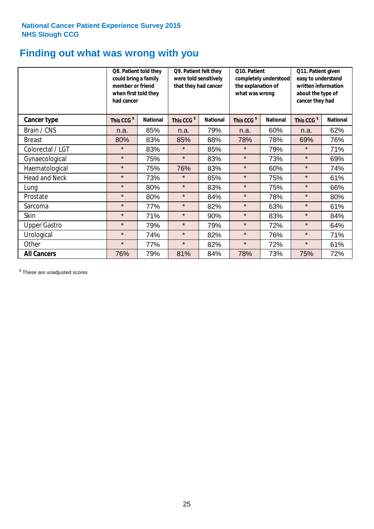# **Finding out what was wrong with you**

|                      | Q8. Patient told they<br>could bring a family<br>member or friend<br>when first told they<br>had cancer |                 | Q9. Patient felt they<br>were told sensitively<br>that they had cancer |                 | Q10. Patient<br>completely understood<br>the explanation of<br>what was wrong |                 | Q11. Patient given<br>easy to understand<br>written information<br>about the type of<br>cancer they had |                 |
|----------------------|---------------------------------------------------------------------------------------------------------|-----------------|------------------------------------------------------------------------|-----------------|-------------------------------------------------------------------------------|-----------------|---------------------------------------------------------------------------------------------------------|-----------------|
| Cancer type          | This CCG <sup>\$</sup>                                                                                  | <b>National</b> | This CCG <sup>\$</sup>                                                 | <b>National</b> | This CCG <sup>\$</sup>                                                        | <b>National</b> | This CCG <sup>\$</sup>                                                                                  | <b>National</b> |
| Brain / CNS          | n.a.                                                                                                    | 85%             | n.a.                                                                   | 79%             | n.a.                                                                          | 60%             | n.a.                                                                                                    | 62%             |
| <b>Breast</b>        | 80%                                                                                                     | 83%             | 85%                                                                    | 88%             | 78%                                                                           | 78%             | 69%                                                                                                     | 76%             |
| Colorectal / LGT     | $\star$                                                                                                 | 83%             | $\star$                                                                | 85%             | $\star$                                                                       | 79%             | $\star$                                                                                                 | 71%             |
| Gynaecological       | $\star$                                                                                                 | 75%             | $\star$                                                                | 83%             | $\star$                                                                       | 73%             | $\star$                                                                                                 | 69%             |
| Haematological       | $\star$                                                                                                 | 75%             | 76%                                                                    | 83%             | $\star$                                                                       | 60%             | $\star$                                                                                                 | 74%             |
| <b>Head and Neck</b> | $\star$                                                                                                 | 73%             | $\star$                                                                | 85%             | $\star$                                                                       | 75%             | $\star$                                                                                                 | 61%             |
| Lung                 | $\star$                                                                                                 | 80%             | $\star$                                                                | 83%             | $\star$                                                                       | 75%             | $\star$                                                                                                 | 66%             |
| Prostate             | $\star$                                                                                                 | 80%             | $\star$                                                                | 84%             | $\star$                                                                       | 78%             | $\star$                                                                                                 | 80%             |
| Sarcoma              | $\star$                                                                                                 | 77%             | $\star$                                                                | 82%             | $\star$                                                                       | 63%             | $\star$                                                                                                 | 61%             |
| Skin                 | $\star$                                                                                                 | 71%             | $\star$                                                                | 90%             | $\star$                                                                       | 83%             | $\star$                                                                                                 | 84%             |
| <b>Upper Gastro</b>  | $\star$                                                                                                 | 79%             | $\star$                                                                | 79%             | $\star$                                                                       | 72%             | $\star$                                                                                                 | 64%             |
| Urological           | $\star$                                                                                                 | 74%             | $\star$                                                                | 82%             | $\star$                                                                       | 76%             | $\star$                                                                                                 | 71%             |
| Other                | $\star$                                                                                                 | 77%             | $\star$                                                                | 82%             | $\star$                                                                       | 72%             | $\star$                                                                                                 | 61%             |
| <b>All Cancers</b>   | 76%                                                                                                     | 79%             | 81%                                                                    | 84%             | 78%                                                                           | 73%             | 75%                                                                                                     | 72%             |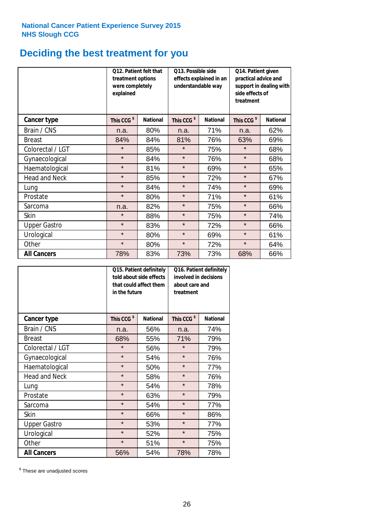# **Deciding the best treatment for you**

|                      | treatment options<br>were completely<br>explained | Q12. Patient felt that | Q13. Possible side<br>understandable way | effects explained in an | Q14. Patient given<br>practical advice and<br>support in dealing with<br>side effects of<br>treatment |                 |  |
|----------------------|---------------------------------------------------|------------------------|------------------------------------------|-------------------------|-------------------------------------------------------------------------------------------------------|-----------------|--|
| Cancer type          | This CCG <sup>\$</sup>                            | <b>National</b>        | This CCG <sup>\$</sup>                   | <b>National</b>         | This CCG <sup>\$</sup>                                                                                | <b>National</b> |  |
| Brain / CNS          | n.a.                                              | 80%                    | n.a.                                     | 71%                     | n.a.                                                                                                  | 62%             |  |
| <b>Breast</b>        | 84%                                               | 84%                    | 81%                                      | 76%                     | 63%                                                                                                   | 69%             |  |
| Colorectal / LGT     | $\star$                                           | 85%                    | $\star$                                  | 75%                     | $\star$                                                                                               | 68%             |  |
| Gynaecological       | $\star$                                           | 84%                    | $\star$                                  | 76%                     | $\star$                                                                                               | 68%             |  |
| Haematological       | $\star$                                           | 81%                    | $\star$                                  | 69%                     | $\star$                                                                                               | 65%             |  |
| <b>Head and Neck</b> | $\star$                                           | 85%                    | $\star$                                  | 72%                     | $\star$                                                                                               | 67%             |  |
| Lung                 | $\star$                                           | 84%                    | $\star$                                  | 74%                     | $\star$                                                                                               | 69%             |  |
| Prostate             | $\star$                                           | 80%                    | $\star$                                  | 71%                     | $\star$                                                                                               | 61%             |  |
| Sarcoma              | n.a.                                              | 82%                    | $\star$                                  | 75%                     | $\star$                                                                                               | 66%             |  |
| Skin                 | $\star$                                           | 88%                    | $\star$                                  | 75%                     | $\star$                                                                                               | 74%             |  |
| <b>Upper Gastro</b>  | $\star$                                           | 83%                    | $\star$                                  | 72%                     | $\star$                                                                                               | 66%             |  |
| Urological           | $\star$                                           | 80%                    | $\star$                                  | 69%                     | $\star$                                                                                               | 61%             |  |
| Other                | $\star$                                           | 80%                    | $\star$                                  | 72%                     | $\star$                                                                                               | 64%             |  |
| <b>All Cancers</b>   | 78%                                               | 83%                    | 73%                                      | 73%                     | 68%                                                                                                   | 66%             |  |

|                      | in the future          | Q15. Patient definitely<br>told about side effects<br>that could affect them | Q16. Patient definitely<br>involved in decisions<br>about care and<br>treatment |                 |  |
|----------------------|------------------------|------------------------------------------------------------------------------|---------------------------------------------------------------------------------|-----------------|--|
| <b>Cancer type</b>   | This CCG <sup>\$</sup> | <b>National</b>                                                              | This CCG <sup>\$</sup>                                                          | <b>National</b> |  |
| Brain / CNS          | n.a.                   | 56%                                                                          | n.a.                                                                            | 74%             |  |
| <b>Breast</b>        | 68%                    | 55%                                                                          | 71%                                                                             | 79%             |  |
| Colorectal / LGT     | $\star$                | 56%                                                                          | $\star$                                                                         | 79%             |  |
| Gynaecological       | $\star$<br>54%         |                                                                              | $\star$                                                                         | 76%             |  |
| Haematological       | $\star$                | 50%                                                                          | $\star$                                                                         | 77%             |  |
| <b>Head and Neck</b> | $\star$                | 58%                                                                          | $\star$                                                                         | 76%             |  |
| Lung                 | $\star$                | 54%                                                                          | $\star$                                                                         | 78%             |  |
| Prostate             | $\star$                | 63%                                                                          | $\star$                                                                         | 79%             |  |
| Sarcoma              | $\star$                | 54%                                                                          | $\star$                                                                         | 77%             |  |
| Skin                 | $\star$                | 66%                                                                          | $\star$                                                                         | 86%             |  |
| <b>Upper Gastro</b>  | $\star$                | 53%                                                                          | $\star$                                                                         | 77%             |  |
| Urological           | $\star$                | 52%                                                                          | $\star$                                                                         | 75%             |  |
| Other                | $\star$                | 51%                                                                          | $\star$                                                                         | 75%             |  |
| <b>All Cancers</b>   | 56%                    | 54%                                                                          | 78%                                                                             | 78%             |  |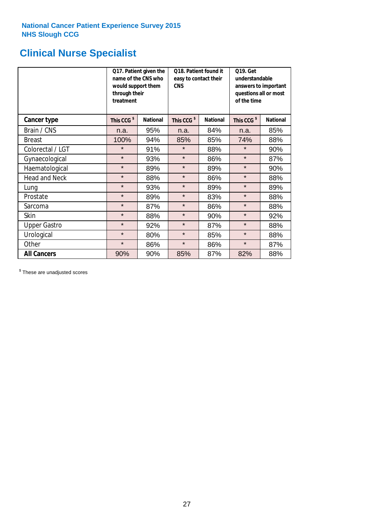# **Clinical Nurse Specialist**

|                      | would support them<br>through their<br>treatment | Q17. Patient given the<br>name of the CNS who | Q18. Patient found it<br>easy to contact their<br><b>CNS</b> |                 | <b>Q19. Get</b><br>understandable<br>answers to important<br>questions all or most<br>of the time |                 |
|----------------------|--------------------------------------------------|-----------------------------------------------|--------------------------------------------------------------|-----------------|---------------------------------------------------------------------------------------------------|-----------------|
| <b>Cancer type</b>   | This CCG <sup>\$</sup>                           | <b>National</b>                               | This CCG <sup>\$</sup>                                       | <b>National</b> | This CCG <sup>\$</sup>                                                                            | <b>National</b> |
| Brain / CNS          | n.a.                                             | 95%                                           | n.a.                                                         | 84%             | n.a.                                                                                              | 85%             |
| <b>Breast</b>        | 100%                                             | 94%                                           | 85%                                                          | 85%             | 74%                                                                                               | 88%             |
| Colorectal / LGT     | $\star$                                          | 91%                                           | $\star$                                                      | 88%             | $\star$                                                                                           | 90%             |
| Gynaecological       | $\star$                                          | 93%                                           | $\star$                                                      | 86%             | $\star$                                                                                           | 87%             |
| Haematological       | $\star$                                          | 89%                                           | $\star$                                                      | 89%             | $\star$                                                                                           | 90%             |
| <b>Head and Neck</b> | $\star$                                          | 88%                                           | $\star$                                                      | 86%             | $\star$                                                                                           | 88%             |
| Lung                 | $\star$                                          | 93%                                           | $\star$                                                      | 89%             | $\star$                                                                                           | 89%             |
| Prostate             | $\star$                                          | 89%                                           | $\star$                                                      | 83%             | $\star$                                                                                           | 88%             |
| Sarcoma              | $\star$                                          | 87%                                           | $\star$                                                      | 86%             | $\star$                                                                                           | 88%             |
| Skin                 | $\star$                                          | 88%                                           | $\star$                                                      | 90%             | $\star$                                                                                           | 92%             |
| <b>Upper Gastro</b>  | $\star$                                          | 92%                                           | $\star$                                                      | 87%             | $\star$                                                                                           | 88%             |
| Urological           | $\star$                                          | 80%                                           | $\star$                                                      | 85%             | $\star$                                                                                           | 88%             |
| Other                | $\star$                                          | 86%                                           | $\star$                                                      | 86%             | $\star$                                                                                           | 87%             |
| <b>All Cancers</b>   | 90%                                              | 90%                                           | 85%                                                          | 87%             | 82%                                                                                               | 88%             |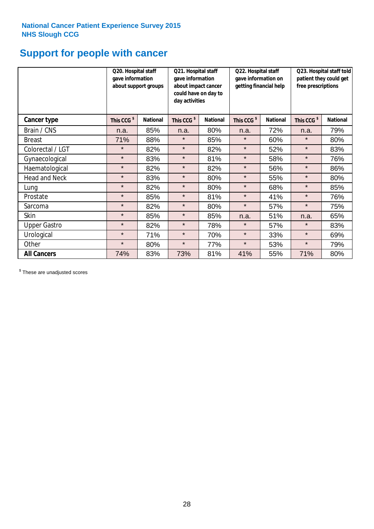# **Support for people with cancer**

|                      | Q20. Hospital staff<br>gave information | about support groups | Q21. Hospital staff<br>gave information<br>about impact cancer<br>could have on day to<br>day activities |                 | Q22. Hospital staff<br>gave information on<br>getting financial help |                 | Q23. Hospital staff told<br>patient they could get<br>free prescriptions |                 |
|----------------------|-----------------------------------------|----------------------|----------------------------------------------------------------------------------------------------------|-----------------|----------------------------------------------------------------------|-----------------|--------------------------------------------------------------------------|-----------------|
| Cancer type          | This CCG <sup>\$</sup>                  | <b>National</b>      | This CCG <sup>\$</sup>                                                                                   | <b>National</b> | This CCG <sup>\$</sup>                                               | <b>National</b> | This CCG <sup>\$</sup>                                                   | <b>National</b> |
| Brain / CNS          | n.a.                                    | 85%                  | n.a.                                                                                                     | 80%             | n.a.                                                                 | 72%             | n.a.                                                                     | 79%             |
| <b>Breast</b>        | 71%                                     | 88%                  | $\star$                                                                                                  | 85%             | $\star$                                                              | 60%             | $\star$                                                                  | 80%             |
| Colorectal / LGT     | $\star$                                 | 82%                  | $\star$                                                                                                  | 82%             | $\star$                                                              | 52%             | $\star$                                                                  | 83%             |
| Gynaecological       | $\star$                                 | 83%                  | $\star$                                                                                                  | 81%             | $\star$                                                              | 58%             | $\star$                                                                  | 76%             |
| Haematological       | $\star$                                 | 82%                  | $\star$                                                                                                  | 82%             | $\star$                                                              | 56%             | $\star$                                                                  | 86%             |
| <b>Head and Neck</b> | $\star$                                 | 83%                  | $\star$                                                                                                  | 80%             | $\star$                                                              | 55%             | $\star$                                                                  | 80%             |
| Lung                 | $\star$                                 | 82%                  | $\star$                                                                                                  | 80%             | $\star$                                                              | 68%             | $\star$                                                                  | 85%             |
| Prostate             | $\star$                                 | 85%                  | $\star$                                                                                                  | 81%             | $\star$                                                              | 41%             | $\star$                                                                  | 76%             |
| Sarcoma              | $\star$                                 | 82%                  | $\star$                                                                                                  | 80%             | $\star$                                                              | 57%             | $\star$                                                                  | 75%             |
| Skin                 | $\star$                                 | 85%                  | $\star$                                                                                                  | 85%             | n.a.                                                                 | 51%             | n.a.                                                                     | 65%             |
| <b>Upper Gastro</b>  | $\star$                                 | 82%                  | $\star$                                                                                                  | 78%             | $\star$                                                              | 57%             | $\star$                                                                  | 83%             |
| Urological           | $\star$                                 | 71%                  | $\star$                                                                                                  | 70%             | $\star$                                                              | 33%             | $\star$                                                                  | 69%             |
| Other                | $\star$                                 | 80%                  | $\star$                                                                                                  | 77%             | $\star$                                                              | 53%             | $\star$                                                                  | 79%             |
| <b>All Cancers</b>   | 74%                                     | 83%                  | 73%                                                                                                      | 81%             | 41%                                                                  | 55%             | 71%                                                                      | 80%             |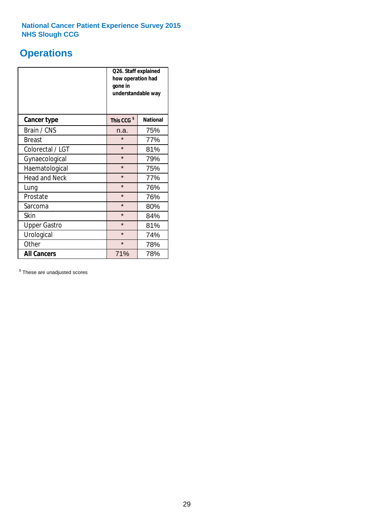# **Operations**

|                      | Q26. Staff explained<br>how operation had<br>gone in<br>understandable way |                 |  |  |
|----------------------|----------------------------------------------------------------------------|-----------------|--|--|
| <b>Cancer type</b>   | This CCG <sup>\$</sup>                                                     | <b>National</b> |  |  |
| Brain / CNS          | n.a.                                                                       | 75%             |  |  |
| <b>Breast</b>        | $\star$                                                                    | 77%             |  |  |
| Colorectal / LGT     | $\star$                                                                    | 81%             |  |  |
| Gynaecological       | $\star$                                                                    | 79%             |  |  |
| Haematological       | $\star$<br>75%                                                             |                 |  |  |
| <b>Head and Neck</b> | $\star$                                                                    | 77%             |  |  |
| Lung                 | $\star$                                                                    | 76%             |  |  |
| Prostate             | $\star$                                                                    | 76%             |  |  |
| Sarcoma              | $\star$                                                                    | 80%             |  |  |
| Skin                 | $\star$                                                                    | 84%             |  |  |
| <b>Upper Gastro</b>  | $\star$                                                                    | 81%             |  |  |
| Urological           | $\star$                                                                    | 74%             |  |  |
| Other                | $\star$<br>78%                                                             |                 |  |  |
| <b>All Cancers</b>   | 71%                                                                        | 78%             |  |  |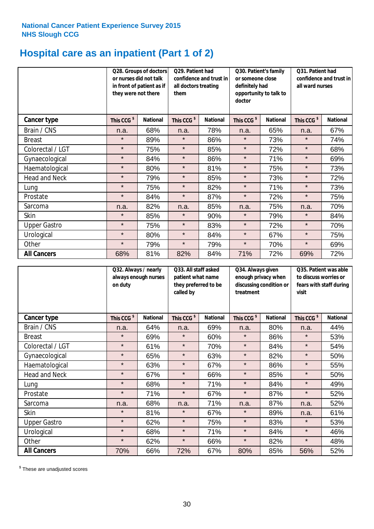# **Hospital care as an inpatient (Part 1 of 2)**

|                      | or nurses did not talk<br>they were not there | Q28. Groups of doctors<br>in front of patient as if | Q29. Patient had<br>confidence and trust in<br>all doctors treating<br>them |                 | Q30. Patient's family<br>or someone close<br>definitely had<br>opportunity to talk to<br>doctor |                 | Q31. Patient had<br>confidence and trust in I<br>all ward nurses |                 |
|----------------------|-----------------------------------------------|-----------------------------------------------------|-----------------------------------------------------------------------------|-----------------|-------------------------------------------------------------------------------------------------|-----------------|------------------------------------------------------------------|-----------------|
| Cancer type          | This CCG <sup>\$</sup>                        | <b>National</b>                                     | This CCG <sup>\$</sup>                                                      | <b>National</b> | This CCG <sup>\$</sup>                                                                          | <b>National</b> | This CCG <sup>\$</sup>                                           | <b>National</b> |
| Brain / CNS          | n.a.                                          | 68%                                                 | n.a.                                                                        | 78%             | n.a.                                                                                            | 65%             | n.a.                                                             | 67%             |
| <b>Breast</b>        | $\star$                                       | 89%                                                 | $\star$                                                                     | 86%             | $\star$                                                                                         | 73%             | $\star$                                                          | 74%             |
| Colorectal / LGT     | $\star$                                       | 75%                                                 | $\star$                                                                     | 85%             | $\star$                                                                                         | 72%             | $\star$                                                          | 68%             |
| Gynaecological       | $\star$                                       | 84%                                                 | $\star$                                                                     | 86%             | $\star$                                                                                         | 71%             | $\star$                                                          | 69%             |
| Haematological       | $\star$                                       | 80%                                                 | $\star$                                                                     | 81%             | $\star$                                                                                         | 75%             | $\star$                                                          | 73%             |
| <b>Head and Neck</b> | $\star$                                       | 79%                                                 | $\star$                                                                     | 85%             | $\star$                                                                                         | 73%             | $\star$                                                          | 72%             |
| Lung                 | $\star$                                       | 75%                                                 | $\star$                                                                     | 82%             | $\star$                                                                                         | 71%             | $\star$                                                          | 73%             |
| Prostate             | $\star$                                       | 84%                                                 | $\star$                                                                     | 87%             | $\star$                                                                                         | 72%             | $\star$                                                          | 75%             |
| Sarcoma              | n.a.                                          | 82%                                                 | n.a.                                                                        | 85%             | n.a.                                                                                            | 75%             | n.a.                                                             | 70%             |
| Skin                 | $\star$                                       | 85%                                                 | $\star$                                                                     | 90%             | $\star$                                                                                         | 79%             | $\star$                                                          | 84%             |
| <b>Upper Gastro</b>  | $\star$                                       | 75%                                                 | $\star$                                                                     | 83%             | $\star$                                                                                         | 72%             | $\star$                                                          | 70%             |
| Urological           | $\star$                                       | 80%                                                 | $\star$                                                                     | 84%             | $\star$                                                                                         | 67%             | $\star$                                                          | 75%             |
| Other                | $\star$                                       | 79%                                                 | $\star$                                                                     | 79%             | $\star$                                                                                         | 70%             | $\star$                                                          | 69%             |
| <b>All Cancers</b>   | 68%                                           | 81%                                                 | 82%                                                                         | 84%             | 71%                                                                                             | 72%             | 69%                                                              | 72%             |

|                      | Q32. Always / nearly<br>always enough nurses<br>on duty |                 | Q33. All staff asked<br>patient what name<br>they preferred to be<br>called by |                 | Q34. Always given<br>enough privacy when<br>discussing condition or<br>treatment |                 | Q35. Patient was able<br>to discuss worries or<br>fears with staff during<br>visit |                 |
|----------------------|---------------------------------------------------------|-----------------|--------------------------------------------------------------------------------|-----------------|----------------------------------------------------------------------------------|-----------------|------------------------------------------------------------------------------------|-----------------|
| <b>Cancer type</b>   | This CCG <sup>\$</sup>                                  | <b>National</b> | This CCG <sup>\$</sup>                                                         | <b>National</b> | This CCG <sup>\$</sup>                                                           | <b>National</b> | This CCG <sup>\$</sup>                                                             | <b>National</b> |
| Brain / CNS          | n.a.                                                    | 64%             | n.a.                                                                           | 69%             | n.a.                                                                             | 80%             | n.a.                                                                               | 44%             |
| <b>Breast</b>        | $\star$                                                 | 69%             | $\star$                                                                        | 60%             | $\star$                                                                          | 86%             | $\star$                                                                            | 53%             |
| Colorectal / LGT     | $\star$                                                 | 61%             | $\star$                                                                        | 70%             | $\star$                                                                          | 84%             | $\star$                                                                            | 54%             |
| Gynaecological       | $\star$                                                 | 65%             | $\star$                                                                        | 63%             | $\star$                                                                          | 82%             | $\star$                                                                            | 50%             |
| Haematological       | $\star$                                                 | 63%             | $\star$                                                                        | 67%             | $\star$                                                                          | 86%             | $\star$                                                                            | 55%             |
| <b>Head and Neck</b> | $\star$                                                 | 67%             | $\star$                                                                        | 66%             | $\star$                                                                          | 85%             | $\star$                                                                            | 50%             |
| Lung                 | $\star$                                                 | 68%             | $\star$                                                                        | 71%             | $\star$                                                                          | 84%             | $\star$                                                                            | 49%             |
| Prostate             | $\star$                                                 | 71%             | $\star$                                                                        | 67%             | $\star$                                                                          | 87%             | $\star$                                                                            | 52%             |
| Sarcoma              | n.a.                                                    | 68%             | n.a.                                                                           | 71%             | n.a.                                                                             | 87%             | n.a.                                                                               | 52%             |
| Skin                 | $\star$                                                 | 81%             | $\star$                                                                        | 67%             | $\star$                                                                          | 89%             | n.a.                                                                               | 61%             |
| <b>Upper Gastro</b>  | $\star$                                                 | 62%             | $\star$                                                                        | 75%             | $\star$                                                                          | 83%             | $\star$                                                                            | 53%             |
| Urological           | $\star$                                                 | 68%             | $\star$                                                                        | 71%             | $\star$                                                                          | 84%             | $\star$                                                                            | 46%             |
| Other                | $\star$                                                 | 62%             | $\star$                                                                        | 66%             | $\star$                                                                          | 82%             | $\star$                                                                            | 48%             |
| <b>All Cancers</b>   | 70%                                                     | 66%             | 72%                                                                            | 67%             | 80%                                                                              | 85%             | 56%                                                                                | 52%             |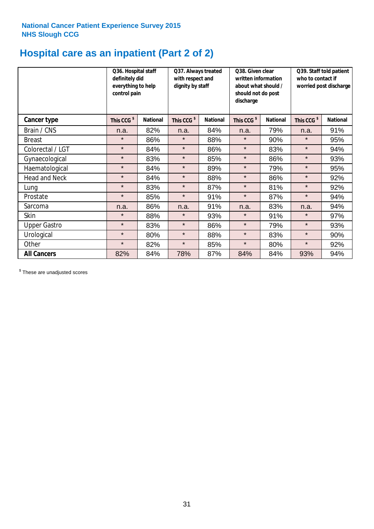# **Hospital care as an inpatient (Part 2 of 2)**

|                      | Q36. Hospital staff<br>definitely did<br>everything to help<br>control pain |                 | Q37. Always treated<br>with respect and<br>dignity by staff |                 | Q38. Given clear<br>written information<br>about what should /<br>should not do post<br>discharge |                 | Q39. Staff told patient<br>who to contact if<br>worried post discharge |                 |  |
|----------------------|-----------------------------------------------------------------------------|-----------------|-------------------------------------------------------------|-----------------|---------------------------------------------------------------------------------------------------|-----------------|------------------------------------------------------------------------|-----------------|--|
| Cancer type          | This CCG <sup>\$</sup>                                                      | <b>National</b> | This CCG <sup>\$</sup>                                      | <b>National</b> | This CCG <sup>\$</sup>                                                                            | <b>National</b> | This CCG <sup>\$</sup>                                                 | <b>National</b> |  |
| Brain / CNS          | n.a.                                                                        | 82%             | n.a.                                                        | 84%             | n.a.                                                                                              | 79%             | n.a.                                                                   | 91%             |  |
| <b>Breast</b>        | $\star$                                                                     | 86%             | $\star$                                                     | 88%             | $\star$                                                                                           | 90%             | $\star$                                                                | 95%             |  |
| Colorectal / LGT     | $\star$                                                                     | 84%             | $\star$                                                     | 86%             | $\star$                                                                                           | 83%             | $\star$                                                                | 94%             |  |
| Gynaecological       | $\star$                                                                     | 83%             | $\star$                                                     | 85%             | $\star$                                                                                           | 86%             | $\star$                                                                | 93%             |  |
| Haematological       | $\star$                                                                     | 84%             | $\star$                                                     | 89%             | $\star$                                                                                           | 79%             | $\star$                                                                | 95%             |  |
| <b>Head and Neck</b> | $\star$                                                                     | 84%             | $\star$                                                     | 88%             | $\star$                                                                                           | 86%             | $\star$                                                                | 92%             |  |
| Lung                 | $\star$                                                                     | 83%             | $\star$                                                     | 87%             | $\star$                                                                                           | 81%             | $\star$                                                                | 92%             |  |
| Prostate             | $\star$                                                                     | 85%             | $\star$                                                     | 91%             | $\star$                                                                                           | 87%             | $\star$                                                                | 94%             |  |
| Sarcoma              | n.a.                                                                        | 86%             | n.a.                                                        | 91%             | n.a.                                                                                              | 83%             | n.a.                                                                   | 94%             |  |
| Skin                 | $\star$                                                                     | 88%             | $\star$                                                     | 93%             | $\star$                                                                                           | 91%             | $\star$                                                                | 97%             |  |
| <b>Upper Gastro</b>  | $\star$                                                                     | 83%             | $\star$                                                     | 86%             | $\star$                                                                                           | 79%             | $\star$                                                                | 93%             |  |
| Urological           | $\star$                                                                     | 80%             | $\star$                                                     | 88%             | $\star$                                                                                           | 83%             | $\star$                                                                | 90%             |  |
| Other                | $\star$                                                                     | 82%             | $\star$                                                     | 85%             | $\star$                                                                                           | 80%             | $\star$                                                                | 92%             |  |
| <b>All Cancers</b>   | 82%                                                                         | 84%             | 78%                                                         | 87%             | 84%                                                                                               | 84%             | 93%                                                                    | 94%             |  |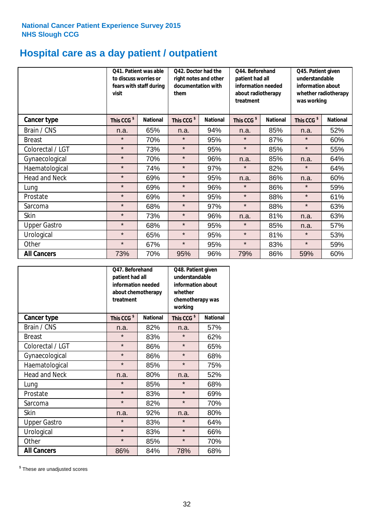# **Hospital care as a day patient / outpatient**

|                      | to discuss worries or<br>visit | Q41. Patient was able<br>fears with staff during | Q42. Doctor had the<br>right notes and other<br>documentation with<br>them |                 | Q44. Beforehand<br>patient had all<br>information needed<br>about radiotherapy<br>treatment |                 | Q45. Patient given<br>understandable<br>information about<br>whether radiotherapy<br>was working |                 |
|----------------------|--------------------------------|--------------------------------------------------|----------------------------------------------------------------------------|-----------------|---------------------------------------------------------------------------------------------|-----------------|--------------------------------------------------------------------------------------------------|-----------------|
| Cancer type          | This CCG <sup>\$</sup>         | <b>National</b>                                  | This CCG <sup>\$</sup>                                                     | <b>National</b> | This CCG <sup>\$</sup>                                                                      | <b>National</b> | This CCG <sup>\$</sup>                                                                           | <b>National</b> |
| Brain / CNS          | n.a.                           | 65%                                              | n.a.                                                                       | 94%             | n.a.                                                                                        | 85%             | n.a.                                                                                             | 52%             |
| <b>Breast</b>        | $\star$                        | 70%                                              | $\star$                                                                    | 95%             | $\star$                                                                                     | 87%             | $\star$                                                                                          | 60%             |
| Colorectal / LGT     | $\star$                        | 73%                                              | $\star$                                                                    | 95%             | $\star$                                                                                     | 85%             | $\star$                                                                                          | 55%             |
| Gynaecological       | $\star$                        | 70%                                              | $\star$                                                                    | 96%             | n.a.                                                                                        | 85%             | n.a.                                                                                             | 64%             |
| Haematological       | $\star$                        | 74%                                              | $\star$                                                                    | 97%             | $\star$                                                                                     | 82%             | $\star$                                                                                          | 64%             |
| <b>Head and Neck</b> | $\star$                        | 69%                                              | $\star$                                                                    | 95%             | n.a.                                                                                        | 86%             | n.a.                                                                                             | 60%             |
| Lung                 | $\star$                        | 69%                                              | $\star$                                                                    | 96%             | $\star$                                                                                     | 86%             | $\star$                                                                                          | 59%             |
| Prostate             | $\star$                        | 69%                                              | $\star$                                                                    | 95%             | $\star$                                                                                     | 88%             | $\star$                                                                                          | 61%             |
| Sarcoma              | $\star$                        | 68%                                              | $\star$                                                                    | 97%             | $\star$                                                                                     | 88%             | $\star$                                                                                          | 63%             |
| Skin                 | $\star$                        | 73%                                              | $\star$                                                                    | 96%             | n.a.                                                                                        | 81%             | n.a.                                                                                             | 63%             |
| <b>Upper Gastro</b>  | $\star$                        | 68%                                              | $\star$                                                                    | 95%             | $\star$                                                                                     | 85%             | n.a.                                                                                             | 57%             |
| Urological           | $\star$                        | 65%                                              | $\star$                                                                    | 95%             | $\star$                                                                                     | 81%             | $\star$                                                                                          | 53%             |
| Other                | $\star$                        | 67%                                              | $\star$                                                                    | 95%             | $\star$                                                                                     | 83%             | $\star$                                                                                          | 59%             |
| <b>All Cancers</b>   | 73%                            | 70%                                              | 95%                                                                        | 96%             | 79%                                                                                         | 86%             | 59%                                                                                              | 60%             |

|                      | O47. Beforehand<br>patient had all<br>information needed<br>treatment | about chemotherapy | Q48. Patient given<br>understandable<br>information about<br>whether<br>chemotherapy was<br>working |                 |  |
|----------------------|-----------------------------------------------------------------------|--------------------|-----------------------------------------------------------------------------------------------------|-----------------|--|
| <b>Cancer type</b>   | This CCG <sup>\$</sup>                                                | <b>National</b>    | This CCG <sup>\$</sup>                                                                              | <b>National</b> |  |
| Brain / CNS          | n.a.                                                                  | 82%                | n.a.                                                                                                | 57%             |  |
| <b>Breast</b>        | $\star$                                                               | 83%                | $\star$                                                                                             | 62%             |  |
| Colorectal / LGT     | $\star$                                                               | 86%                | $\star$                                                                                             | 65%             |  |
| Gynaecological       | $\star$<br>86%                                                        |                    | $\star$                                                                                             | 68%             |  |
| Haematological       | $\star$<br>85%                                                        |                    | $\star$                                                                                             | 75%             |  |
| <b>Head and Neck</b> | n.a.                                                                  | 80%                | n.a.                                                                                                | 52%             |  |
| Lung                 | $\star$                                                               | 85%                | $\star$                                                                                             | 68%             |  |
| Prostate             | $\star$                                                               | 83%                | $\star$                                                                                             | 69%             |  |
| Sarcoma              | $\star$                                                               | 82%                | $\star$                                                                                             | 70%             |  |
| Skin                 | n.a.                                                                  | 92%                | n.a.                                                                                                | 80%             |  |
| <b>Upper Gastro</b>  | $\star$                                                               | 83%                | $\star$                                                                                             | 64%             |  |
| Urological           | $\star$                                                               | 83%                | $\star$                                                                                             | 66%             |  |
| Other                | $\star$                                                               | 85%                | $\star$                                                                                             | 70%             |  |
| <b>All Cancers</b>   | 86%                                                                   | 84%                | 78%                                                                                                 | 68%             |  |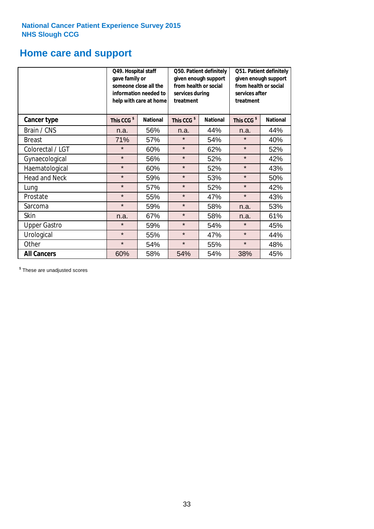# **Home care and support**

|                      | Q49. Hospital staff<br>gave family or | someone close all the<br>information needed to<br>help with care at home | Q50. Patient definitely<br>given enough support<br>from health or social<br>services during<br>treatment |                 | Q51. Patient definitely<br>given enough support<br>from health or social<br>services after<br>treatment |                 |  |
|----------------------|---------------------------------------|--------------------------------------------------------------------------|----------------------------------------------------------------------------------------------------------|-----------------|---------------------------------------------------------------------------------------------------------|-----------------|--|
| <b>Cancer type</b>   | This CCG <sup>\$</sup>                | <b>National</b>                                                          | This CCG <sup>\$</sup>                                                                                   | <b>National</b> | This CCG <sup>\$</sup>                                                                                  | <b>National</b> |  |
| Brain / CNS          | n.a.                                  | 56%                                                                      | n.a.                                                                                                     | 44%             | n.a.                                                                                                    | 44%             |  |
| <b>Breast</b>        | 71%                                   | 57%                                                                      | $\star$                                                                                                  | 54%             | $\star$                                                                                                 | 40%             |  |
| Colorectal / LGT     | $\star$                               | 60%                                                                      | $\star$                                                                                                  | 62%             | $\star$                                                                                                 | 52%             |  |
| Gynaecological       | $\star$                               | 56%                                                                      | $\star$                                                                                                  | 52%             | $\star$                                                                                                 | 42%             |  |
| Haematological       | $\star$                               | 60%                                                                      | $\star$                                                                                                  | 52%             | $\star$                                                                                                 | 43%             |  |
| <b>Head and Neck</b> | $\star$                               | 59%                                                                      | $\star$                                                                                                  | 53%             | $\star$                                                                                                 | 50%             |  |
| Lung                 | $\star$                               | 57%                                                                      | $\star$                                                                                                  | 52%             | $\star$                                                                                                 | 42%             |  |
| Prostate             | $\star$                               | 55%                                                                      | $\star$                                                                                                  | 47%             | $\star$                                                                                                 | 43%             |  |
| Sarcoma              | $\star$                               | 59%                                                                      | $\star$                                                                                                  | 58%             | n.a.                                                                                                    | 53%             |  |
| Skin                 | n.a.                                  | 67%                                                                      | $\star$                                                                                                  | 58%             | n.a.                                                                                                    | 61%             |  |
| <b>Upper Gastro</b>  | $\star$                               | 59%                                                                      | $\star$                                                                                                  | 54%             | $\star$                                                                                                 | 45%             |  |
| Urological           | $\star$                               | 55%                                                                      | $\star$                                                                                                  | 47%             | $\star$                                                                                                 | 44%             |  |
| Other                | $\star$                               | 54%                                                                      | $\star$                                                                                                  | 55%             | $\star$                                                                                                 | 48%             |  |
| <b>All Cancers</b>   | 60%                                   | 58%                                                                      | 54%                                                                                                      | 54%             | 38%                                                                                                     | 45%             |  |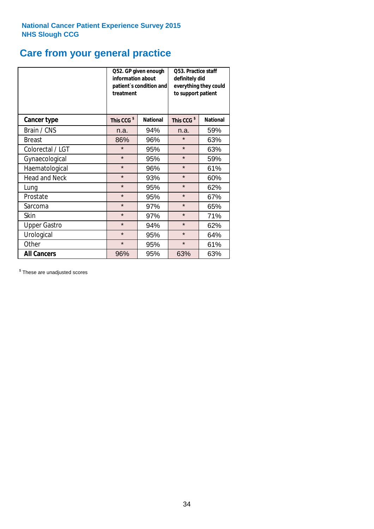# **Care from your general practice**

|                      | information about<br>treatment | Q52. GP given enough<br>patient's condition and | O53. Practice staff<br>definitely did<br>everything they could<br>to support patient |                 |  |
|----------------------|--------------------------------|-------------------------------------------------|--------------------------------------------------------------------------------------|-----------------|--|
| <b>Cancer type</b>   | This CCG <sup>\$</sup>         | <b>National</b>                                 | This CCG <sup>\$</sup>                                                               | <b>National</b> |  |
| Brain / CNS          | n.a.                           | 94%                                             | n.a.                                                                                 | 59%             |  |
| <b>Breast</b>        | 86%                            | 96%                                             | $\star$                                                                              | 63%             |  |
| Colorectal / LGT     | $\star$                        | 95%                                             | $\star$                                                                              | 63%             |  |
| Gynaecological       | $\star$<br>95%                 |                                                 | $\star$                                                                              | 59%             |  |
| Haematological       | $\star$                        | 96%                                             | $\star$                                                                              | 61%             |  |
| <b>Head and Neck</b> | $\star$                        | 93%                                             | $\star$                                                                              | 60%             |  |
| Lung                 | $\star$                        | 95%                                             | $\star$                                                                              | 62%             |  |
| Prostate             | $\star$                        | 95%                                             | $\star$                                                                              | 67%             |  |
| Sarcoma              | $\star$                        | 97%                                             | $\star$                                                                              | 65%             |  |
| Skin                 | $\star$                        | 97%                                             | $\star$                                                                              | 71%             |  |
| <b>Upper Gastro</b>  | $\star$                        | 94%                                             | $\star$                                                                              | 62%             |  |
| Urological           | $\star$                        | 95%                                             | $\star$                                                                              | 64%             |  |
| Other                | $\star$                        | 95%                                             | $\star$                                                                              | 61%             |  |
| <b>All Cancers</b>   | 96%                            | 95%                                             | 63%                                                                                  | 63%             |  |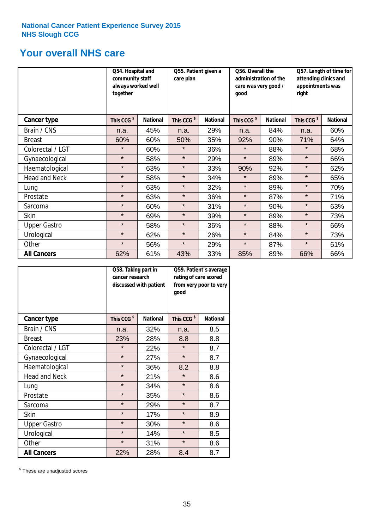# **Your overall NHS care**

|                      | Q54. Hospital and<br>community staff<br>always worked well<br>together |                 | care plan              | Q55. Patient given a |                        | Q56. Overall the<br>administration of the<br>care was very good /<br>qood |                        | Q57. Length of time for<br>attending clinics and<br>appointments was<br>right |  |
|----------------------|------------------------------------------------------------------------|-----------------|------------------------|----------------------|------------------------|---------------------------------------------------------------------------|------------------------|-------------------------------------------------------------------------------|--|
| <b>Cancer type</b>   | This CCG <sup>\$</sup>                                                 | <b>National</b> | This CCG <sup>\$</sup> | <b>National</b>      | This CCG <sup>\$</sup> | <b>National</b>                                                           | This CCG <sup>\$</sup> | <b>National</b>                                                               |  |
| Brain / CNS          | n.a.                                                                   | 45%             | n.a.                   | 29%                  | n.a.                   | 84%                                                                       | n.a.                   | 60%                                                                           |  |
| <b>Breast</b>        | 60%                                                                    | 60%             | 50%                    | 35%                  | 92%                    | 90%                                                                       | 71%                    | 64%                                                                           |  |
| Colorectal / LGT     | $\star$                                                                | 60%             | $\star$                | 36%                  | $\star$                | 88%                                                                       | $\star$                | 68%                                                                           |  |
| Gynaecological       | $\star$                                                                | 58%             | $\star$                | 29%                  | $\star$                | 89%                                                                       | $\star$                | 66%                                                                           |  |
| Haematological       | $\star$                                                                | 63%             | $\star$                | 33%                  | 90%                    | 92%                                                                       | $\star$                | 62%                                                                           |  |
| <b>Head and Neck</b> | $\star$                                                                | 58%             | $\star$                | 34%                  | $\star$                | 89%                                                                       | $\star$                | 65%                                                                           |  |
| Lung                 | $\star$                                                                | 63%             | $\star$                | 32%                  | $\star$                | 89%                                                                       | $\star$                | 70%                                                                           |  |
| Prostate             | $\star$                                                                | 63%             | $\star$                | 36%                  | $\star$                | 87%                                                                       | $\star$                | 71%                                                                           |  |
| Sarcoma              | $\star$                                                                | 60%             | $\star$                | 31%                  | $\star$                | 90%                                                                       | $\star$                | 63%                                                                           |  |
| Skin                 | $\star$                                                                | 69%             | $\star$                | 39%                  | $\star$                | 89%                                                                       | $\star$                | 73%                                                                           |  |
| <b>Upper Gastro</b>  | $\star$                                                                | 58%             | $\star$                | 36%                  | $\star$                | 88%                                                                       | $\star$                | 66%                                                                           |  |
| Urological           | $\star$                                                                | 62%             | $\star$                | 26%                  | $\star$                | 84%                                                                       | $\star$                | 73%                                                                           |  |
| Other                | $\star$                                                                | 56%             | $\star$                | 29%                  | $\star$                | 87%                                                                       | $\star$                | 61%                                                                           |  |
| <b>All Cancers</b>   | 62%                                                                    | 61%             | 43%                    | 33%                  | 85%                    | 89%                                                                       | 66%                    | 66%                                                                           |  |

|                      | Q58. Taking part in<br>cancer research | discussed with patient | Q59. Patient's average<br>rating of care scored<br>from very poor to very<br>good |                 |  |
|----------------------|----------------------------------------|------------------------|-----------------------------------------------------------------------------------|-----------------|--|
| <b>Cancer type</b>   | This CCG <sup>\$</sup>                 | <b>National</b>        | This CCG <sup>\$</sup>                                                            | <b>National</b> |  |
| Brain / CNS          | n.a.                                   | 32%                    | n.a.                                                                              | 8.5             |  |
| <b>Breast</b>        | 23%                                    | 28%                    | 8.8                                                                               | 8.8             |  |
| Colorectal / LGT     | $\star$                                | 22%                    | $\star$                                                                           | 8.7             |  |
| Gynaecological       | $\star$<br>27%                         |                        | $\star$                                                                           | 8.7             |  |
| Haematological       | $\star$                                | 36%                    | 8.2                                                                               | 8.8             |  |
| <b>Head and Neck</b> | $\star$                                | 21%                    | $\star$                                                                           | 8.6             |  |
| Lung                 | $\star$                                | 34%                    | $\star$                                                                           | 8.6             |  |
| Prostate             | $\star$                                | 35%                    | $\star$                                                                           | 8.6             |  |
| Sarcoma              | $\star$                                | 29%                    | $\star$                                                                           | 8.7             |  |
| <b>Skin</b>          | $\star$                                | 17%                    | $\star$                                                                           | 8.9             |  |
| <b>Upper Gastro</b>  | $\star$                                | 30%                    | $\star$                                                                           | 8.6             |  |
| Urological           | $\star$                                | 14%                    | $\star$                                                                           | 8.5             |  |
| Other                | $\star$                                | 31%                    | $\star$                                                                           | 8.6             |  |
| <b>All Cancers</b>   | 22%                                    | 28%                    | 8.4                                                                               | 8.7             |  |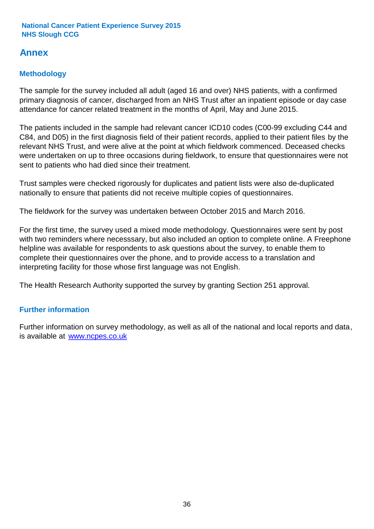# **Annex**

# **Methodology**

The sample for the survey included all adult (aged 16 and over) NHS patients, with a confirmed primary diagnosis of cancer, discharged from an NHS Trust after an inpatient episode or day case attendance for cancer related treatment in the months of April, May and June 2015.

The patients included in the sample had relevant cancer ICD10 codes (C00-99 excluding C44 and C84, and D05) in the first diagnosis field of their patient records, applied to their patient files by the relevant NHS Trust, and were alive at the point at which fieldwork commenced. Deceased checks were undertaken on up to three occasions during fieldwork, to ensure that questionnaires were not sent to patients who had died since their treatment.

Trust samples were checked rigorously for duplicates and patient lists were also de-duplicated nationally to ensure that patients did not receive multiple copies of questionnaires.

The fieldwork for the survey was undertaken between October 2015 and March 2016.

For the first time, the survey used a mixed mode methodology. Questionnaires were sent by post with two reminders where necesssary, but also included an option to complete online. A Freephone helpline was available for respondents to ask questions about the survey, to enable them to complete their questionnaires over the phone, and to provide access to a translation and interpreting facility for those whose first language was not English.

The Health Research Authority supported the survey by granting Section 251 approval.

# **Further information**

Further information on survey methodology, as well as all of the national and local reports and data, is available at www.ncpes.co.uk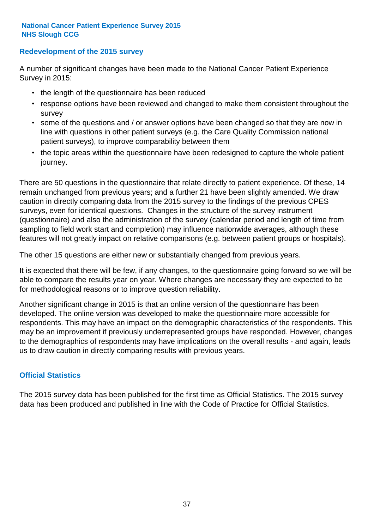### **Redevelopment of the 2015 survey**

A number of significant changes have been made to the National Cancer Patient Experience Survey in 2015:

- the length of the questionnaire has been reduced
- response options have been reviewed and changed to make them consistent throughout the survey
- some of the questions and / or answer options have been changed so that they are now in line with questions in other patient surveys (e.g. the Care Quality Commission national patient surveys), to improve comparability between them
- the topic areas within the questionnaire have been redesigned to capture the whole patient journey.

There are 50 questions in the questionnaire that relate directly to patient experience. Of these, 14 remain unchanged from previous years; and a further 21 have been slightly amended. We draw caution in directly comparing data from the 2015 survey to the findings of the previous CPES surveys, even for identical questions. Changes in the structure of the survey instrument (questionnaire) and also the administration of the survey (calendar period and length of time from sampling to field work start and completion) may influence nationwide averages, although these features will not greatly impact on relative comparisons (e.g. between patient groups or hospitals).

The other 15 questions are either new or substantially changed from previous years.

It is expected that there will be few, if any changes, to the questionnaire going forward so we will be able to compare the results year on year. Where changes are necessary they are expected to be for methodological reasons or to improve question reliability.

Another significant change in 2015 is that an online version of the questionnaire has been developed. The online version was developed to make the questionnaire more accessible for respondents. This may have an impact on the demographic characteristics of the respondents. This may be an improvement if previously underrepresented groups have responded. However, changes to the demographics of respondents may have implications on the overall results - and again, leads us to draw caution in directly comparing results with previous years.

## **Official Statistics**

The 2015 survey data has been published for the first time as Official Statistics. The 2015 survey data has been produced and published in line with the Code of Practice for Official Statistics.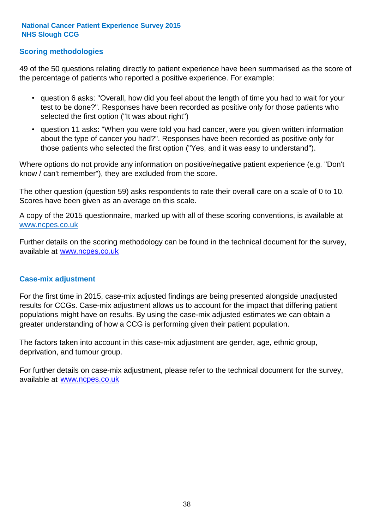## **Scoring methodologies**

49 of the 50 questions relating directly to patient experience have been summarised as the score of the percentage of patients who reported a positive experience. For example:

- question 6 asks: "Overall, how did you feel about the length of time you had to wait for your test to be done?". Responses have been recorded as positive only for those patients who selected the first option ("It was about right")
- question 11 asks: "When you were told you had cancer, were you given written information about the type of cancer you had?". Responses have been recorded as positive only for those patients who selected the first option ("Yes, and it was easy to understand").

Where options do not provide any information on positive/negative patient experience (e.g. "Don't know / can't remember"), they are excluded from the score.

The other question (question 59) asks respondents to rate their overall care on a scale of 0 to 10. Scores have been given as an average on this scale.

A copy of the 2015 questionnaire, marked up with all of these scoring conventions, is available at www.ncpes.co.uk

Further details on the scoring methodology can be found in the technical document for the survey, available at <u>www.ncpes.co.uk</u>

#### **Case-mix adjustment**

For the first time in 2015, case-mix adjusted findings are being presented alongside unadjusted results for CCGs. Case-mix adjustment allows us to account for the impact that differing patient populations might have on results. By using the case-mix adjusted estimates we can obtain a greater understanding of how a CCG is performing given their patient population.

The factors taken into account in this case-mix adjustment are gender, age, ethnic group, deprivation, and tumour group.

For further details on case-mix adjustment, please refer to the technical document for the survey, available at www.ncpes.co.uk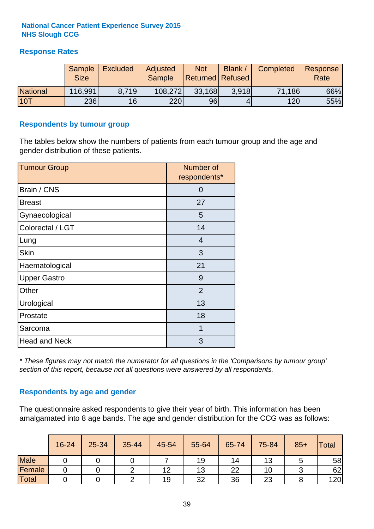# **Response Rates**

|                 | Sample      | <b>Excluded</b> | Adjusted      | <b>Not</b>              | Blank / | Completed | Response |
|-----------------|-------------|-----------------|---------------|-------------------------|---------|-----------|----------|
|                 | <b>Size</b> |                 | <b>Sample</b> | <b>Returned Refused</b> |         |           | Rate     |
| <b>National</b> | 116,991     | 8.719           | 108,272       | 33,168                  | 3.918   | 71,186    | 66%      |
| 10T             | 236         | 16 <sup>1</sup> | 220           | 96                      |         | 120       | 55%      |

### **Respondents by tumour group**

The tables below show the numbers of patients from each tumour group and the age and gender distribution of these patients.

| <b>Tumour Group</b>  | Number of<br>respondents* |  |  |
|----------------------|---------------------------|--|--|
| Brain / CNS          | 0                         |  |  |
| <b>Breast</b>        | 27                        |  |  |
| Gynaecological       | 5                         |  |  |
| Colorectal / LGT     | 14                        |  |  |
| Lung                 | 4                         |  |  |
| <b>Skin</b>          | 3                         |  |  |
| Haematological       | 21                        |  |  |
| <b>Upper Gastro</b>  | 9                         |  |  |
| Other                | $\overline{2}$            |  |  |
| Urological           | 13                        |  |  |
| Prostate             | 18                        |  |  |
| Sarcoma              | 1                         |  |  |
| <b>Head and Neck</b> | 3                         |  |  |

*\* These figures may not match the numerator for all questions in the 'Comparisons by tumour group' section of this report, because not all questions were answered by all respondents.*

## **Respondents by age and gender**

The questionnaire asked respondents to give their year of birth. This information has been amalgamated into 8 age bands. The age and gender distribution for the CCG was as follows:

|             | 16-24 | 25-34 | 35-44 | 45-54 | 55-64 | 65-74 | 75-84 | $85+$ | Total |
|-------------|-------|-------|-------|-------|-------|-------|-------|-------|-------|
| <b>Male</b> |       |       |       |       | 19    | 14    | 13    |       | 58    |
| Female      |       |       |       | 12    | 13    | 22    | 10    |       | 62    |
| Total       |       |       |       | 19    | 32    | 36    | 23    |       | 120   |